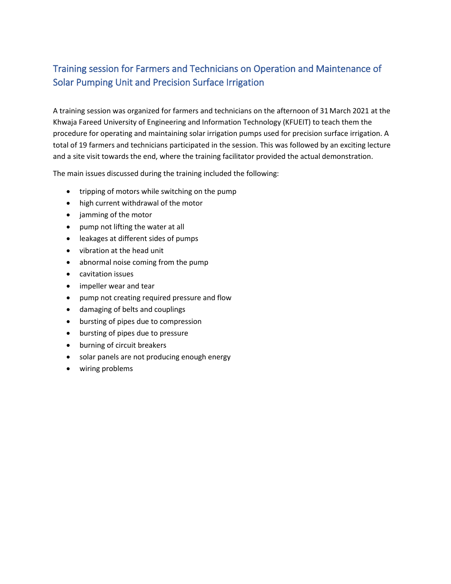## Training session for Farmers and Technicians on Operation and Maintenance of Solar Pumping Unit and Precision Surface Irrigation

A training session was organized for farmers and technicians on the afternoon of 31March 2021 at the Khwaja Fareed University of Engineering and Information Technology (KFUEIT) to teach them the procedure for operating and maintaining solar irrigation pumps used for precision surface irrigation. A total of 19 farmers and technicians participated in the session. This was followed by an exciting lecture and a site visit towards the end, where the training facilitator provided the actual demonstration.

The main issues discussed during the training included the following:

- tripping of motors while switching on the pump
- high current withdrawal of the motor
- jamming of the motor
- pump not lifting the water at all
- leakages at different sides of pumps
- vibration at the head unit
- abnormal noise coming from the pump
- cavitation issues
- impeller wear and tear
- pump not creating required pressure and flow
- damaging of belts and couplings
- bursting of pipes due to compression
- bursting of pipes due to pressure
- burning of circuit breakers
- solar panels are not producing enough energy
- wiring problems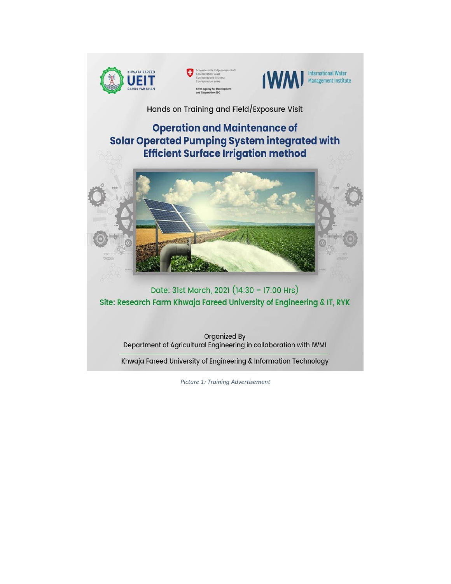





Hands on Training and Field/Exposure Visit

## **Operation and Maintenance of Solar Operated Pumping System integrated with Efficient Surface Irrigation method**



Date: 31st March, 2021 (14:30 - 17:00 Hrs) Site: Research Farm Khwaja Fareed University of Engineering & IT, RYK

Organized By Department of Agricultural Engineering in collaboration with IWMI

Khwaja Fareed University of Engineering & Information Technology

Picture 1: Training Advertisement